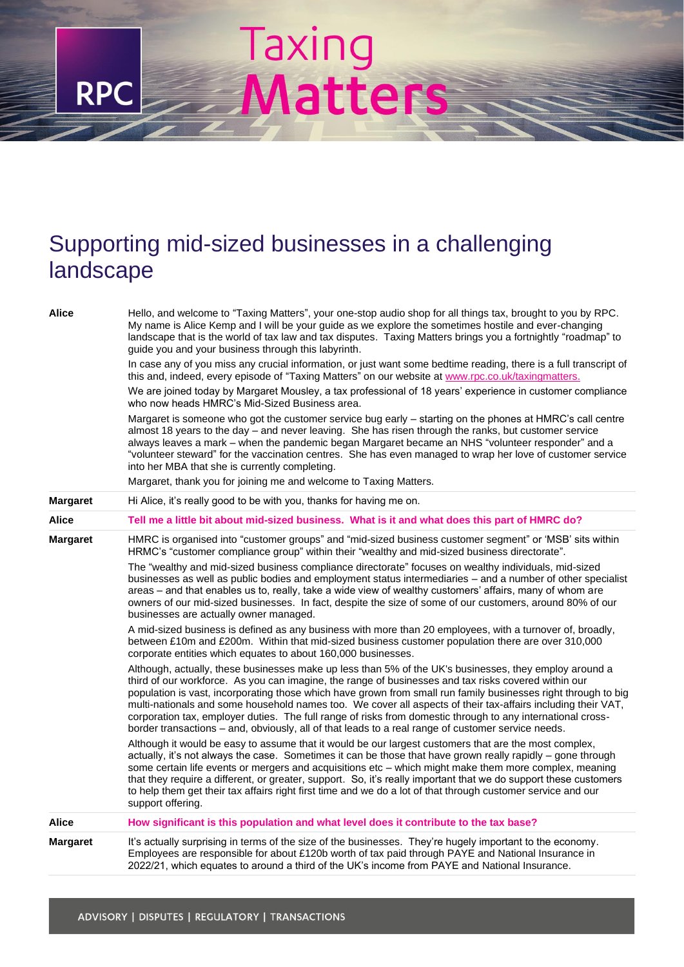## Supporting mid-sized businesses in a challenging landscape

Taxing

**RPC** 

**Matters** 

| Alice           | Hello, and welcome to "Taxing Matters", your one-stop audio shop for all things tax, brought to you by RPC.<br>My name is Alice Kemp and I will be your guide as we explore the sometimes hostile and ever-changing<br>landscape that is the world of tax law and tax disputes. Taxing Matters brings you a fortnightly "roadmap" to<br>guide you and your business through this labyrinth.                                                                                                                                                                                                                                                                           |
|-----------------|-----------------------------------------------------------------------------------------------------------------------------------------------------------------------------------------------------------------------------------------------------------------------------------------------------------------------------------------------------------------------------------------------------------------------------------------------------------------------------------------------------------------------------------------------------------------------------------------------------------------------------------------------------------------------|
|                 | In case any of you miss any crucial information, or just want some bedtime reading, there is a full transcript of<br>this and, indeed, every episode of "Taxing Matters" on our website at www.rpc.co.uk/taxingmatters.                                                                                                                                                                                                                                                                                                                                                                                                                                               |
|                 | We are joined today by Margaret Mousley, a tax professional of 18 years' experience in customer compliance<br>who now heads HMRC's Mid-Sized Business area.                                                                                                                                                                                                                                                                                                                                                                                                                                                                                                           |
|                 | Margaret is someone who got the customer service bug early - starting on the phones at HMRC's call centre<br>almost 18 years to the day – and never leaving. She has risen through the ranks, but customer service<br>always leaves a mark - when the pandemic began Margaret became an NHS "volunteer responder" and a<br>"volunteer steward" for the vaccination centres. She has even managed to wrap her love of customer service<br>into her MBA that she is currently completing.                                                                                                                                                                               |
|                 | Margaret, thank you for joining me and welcome to Taxing Matters.                                                                                                                                                                                                                                                                                                                                                                                                                                                                                                                                                                                                     |
| <b>Margaret</b> | Hi Alice, it's really good to be with you, thanks for having me on.                                                                                                                                                                                                                                                                                                                                                                                                                                                                                                                                                                                                   |
| Alice           | Tell me a little bit about mid-sized business. What is it and what does this part of HMRC do?                                                                                                                                                                                                                                                                                                                                                                                                                                                                                                                                                                         |
| Margaret        | HMRC is organised into "customer groups" and "mid-sized business customer segment" or 'MSB' sits within<br>HRMC's "customer compliance group" within their "wealthy and mid-sized business directorate".                                                                                                                                                                                                                                                                                                                                                                                                                                                              |
|                 | The "wealthy and mid-sized business compliance directorate" focuses on wealthy individuals, mid-sized<br>businesses as well as public bodies and employment status intermediaries - and a number of other specialist<br>areas - and that enables us to, really, take a wide view of wealthy customers' affairs, many of whom are<br>owners of our mid-sized businesses. In fact, despite the size of some of our customers, around 80% of our<br>businesses are actually owner managed.                                                                                                                                                                               |
|                 | A mid-sized business is defined as any business with more than 20 employees, with a turnover of, broadly,<br>between £10m and £200m. Within that mid-sized business customer population there are over 310,000<br>corporate entities which equates to about 160,000 businesses.                                                                                                                                                                                                                                                                                                                                                                                       |
|                 | Although, actually, these businesses make up less than 5% of the UK's businesses, they employ around a<br>third of our workforce. As you can imagine, the range of businesses and tax risks covered within our<br>population is vast, incorporating those which have grown from small run family businesses right through to big<br>multi-nationals and some household names too. We cover all aspects of their tax-affairs including their VAT,<br>corporation tax, employer duties. The full range of risks from domestic through to any international cross-<br>border transactions - and, obviously, all of that leads to a real range of customer service needs. |
|                 | Although it would be easy to assume that it would be our largest customers that are the most complex,<br>actually, it's not always the case. Sometimes it can be those that have grown really rapidly – gone through<br>some certain life events or mergers and acquisitions etc - which might make them more complex, meaning<br>that they require a different, or greater, support. So, it's really important that we do support these customers<br>to help them get their tax affairs right first time and we do a lot of that through customer service and our<br>support offering.                                                                               |
| Alice           | How significant is this population and what level does it contribute to the tax base?                                                                                                                                                                                                                                                                                                                                                                                                                                                                                                                                                                                 |
| Margaret        | It's actually surprising in terms of the size of the businesses. They're hugely important to the economy.<br>Employees are responsible for about £120b worth of tax paid through PAYE and National Insurance in<br>2022/21, which equates to around a third of the UK's income from PAYE and National Insurance.                                                                                                                                                                                                                                                                                                                                                      |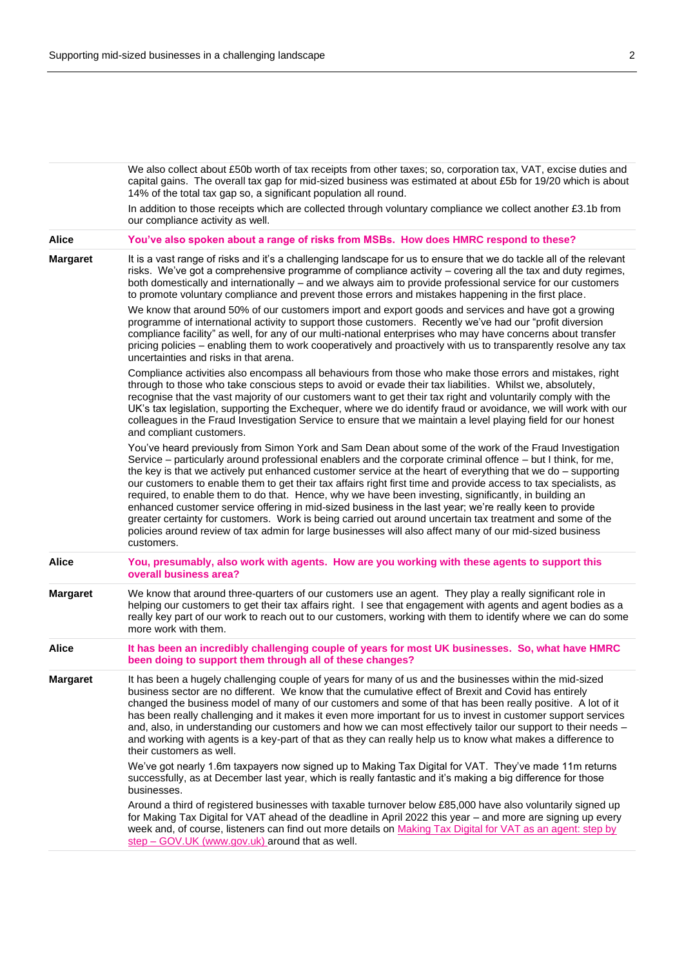We also collect about £50b worth of tax receipts from other taxes; so, corporation tax, VAT, excise duties and capital gains. The overall tax gap for mid-sized business was estimated at about £5b for 19/20 which is about 14% of the total tax gap so, a significant population all round. In addition to those receipts which are collected through voluntary compliance we collect another £3.1b from our compliance activity as well. **Alice You've also spoken about a range of risks from MSBs. How does HMRC respond to these? Margaret** It is a vast range of risks and it's a challenging landscape for us to ensure that we do tackle all of the relevant risks. We've got a comprehensive programme of compliance activity – covering all the tax and duty regimes, both domestically and internationally – and we always aim to provide professional service for our customers to promote voluntary compliance and prevent those errors and mistakes happening in the first place. We know that around 50% of our customers import and export goods and services and have got a growing programme of international activity to support those customers. Recently we've had our "profit diversion compliance facility" as well, for any of our multi-national enterprises who may have concerns about transfer pricing policies – enabling them to work cooperatively and proactively with us to transparently resolve any tax uncertainties and risks in that arena. Compliance activities also encompass all behaviours from those who make those errors and mistakes, right through to those who take conscious steps to avoid or evade their tax liabilities. Whilst we, absolutely, recognise that the vast majority of our customers want to get their tax right and voluntarily comply with the UK's tax legislation, supporting the Exchequer, where we do identify fraud or avoidance, we will work with our colleagues in the Fraud Investigation Service to ensure that we maintain a level playing field for our honest and compliant customers. You've heard previously from Simon York and Sam Dean about some of the work of the Fraud Investigation Service – particularly around professional enablers and the corporate criminal offence – but I think, for me, the key is that we actively put enhanced customer service at the heart of everything that we do – supporting our customers to enable them to get their tax affairs right first time and provide access to tax specialists, as required, to enable them to do that. Hence, why we have been investing, significantly, in building an enhanced customer service offering in mid-sized business in the last year; we're really keen to provide greater certainty for customers. Work is being carried out around uncertain tax treatment and some of the policies around review of tax admin for large businesses will also affect many of our mid-sized business customers. **Alice You, presumably, also work with agents. How are you working with these agents to support this overall business area? Margaret** We know that around three-quarters of our customers use an agent. They play a really significant role in helping our customers to get their tax affairs right. I see that engagement with agents and agent bodies as a really key part of our work to reach out to our customers, working with them to identify where we can do some more work with them. **Alice It has been an incredibly challenging couple of years for most UK businesses. So, what have HMRC been doing to support them through all of these changes? Margaret** It has been a hugely challenging couple of years for many of us and the businesses within the mid-sized business sector are no different. We know that the cumulative effect of Brexit and Covid has entirely changed the business model of many of our customers and some of that has been really positive. A lot of it has been really challenging and it makes it even more important for us to invest in customer support services and, also, in understanding our customers and how we can most effectively tailor our support to their needs – and working with agents is a key-part of that as they can really help us to know what makes a difference to their customers as well. We've got nearly 1.6m taxpayers now signed up to Making Tax Digital for VAT. They've made 11m returns successfully, as at December last year, which is really fantastic and it's making a big difference for those businesses. Around a third of registered businesses with taxable turnover below £85,000 have also voluntarily signed up for Making Tax Digital for VAT ahead of the deadline in April 2022 this year – and more are signing up every week and, of course, listeners can find out more details on Making Tax Digital for VAT as an agent: step by step – GOV.UK (www.gov.uk) around that as well.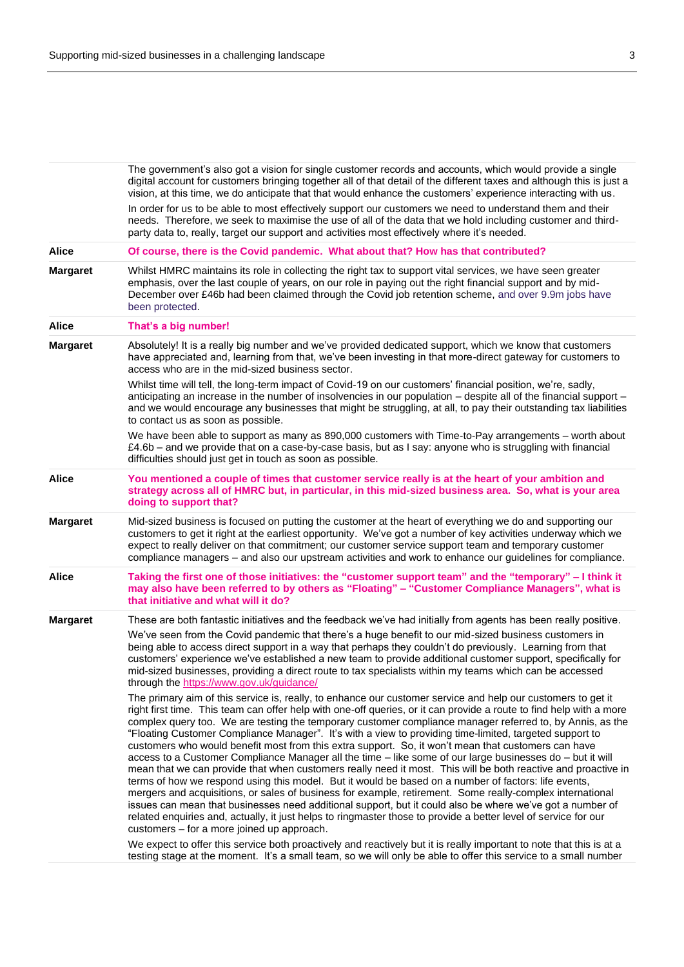|                 | The government's also got a vision for single customer records and accounts, which would provide a single<br>digital account for customers bringing together all of that detail of the different taxes and although this is just a<br>vision, at this time, we do anticipate that that would enhance the customers' experience interacting with us.                                                                                                                                                                                                                                                                                                                                                                                                                                                                                                                                                                                                                                                                                                                                                                                                                                                                                                   |
|-----------------|-------------------------------------------------------------------------------------------------------------------------------------------------------------------------------------------------------------------------------------------------------------------------------------------------------------------------------------------------------------------------------------------------------------------------------------------------------------------------------------------------------------------------------------------------------------------------------------------------------------------------------------------------------------------------------------------------------------------------------------------------------------------------------------------------------------------------------------------------------------------------------------------------------------------------------------------------------------------------------------------------------------------------------------------------------------------------------------------------------------------------------------------------------------------------------------------------------------------------------------------------------|
|                 | In order for us to be able to most effectively support our customers we need to understand them and their<br>needs. Therefore, we seek to maximise the use of all of the data that we hold including customer and third-<br>party data to, really, target our support and activities most effectively where it's needed.                                                                                                                                                                                                                                                                                                                                                                                                                                                                                                                                                                                                                                                                                                                                                                                                                                                                                                                              |
| <b>Alice</b>    | Of course, there is the Covid pandemic. What about that? How has that contributed?                                                                                                                                                                                                                                                                                                                                                                                                                                                                                                                                                                                                                                                                                                                                                                                                                                                                                                                                                                                                                                                                                                                                                                    |
| <b>Margaret</b> | Whilst HMRC maintains its role in collecting the right tax to support vital services, we have seen greater<br>emphasis, over the last couple of years, on our role in paying out the right financial support and by mid-<br>December over £46b had been claimed through the Covid job retention scheme, and over 9.9m jobs have<br>been protected.                                                                                                                                                                                                                                                                                                                                                                                                                                                                                                                                                                                                                                                                                                                                                                                                                                                                                                    |
| <b>Alice</b>    | That's a big number!                                                                                                                                                                                                                                                                                                                                                                                                                                                                                                                                                                                                                                                                                                                                                                                                                                                                                                                                                                                                                                                                                                                                                                                                                                  |
| <b>Margaret</b> | Absolutely! It is a really big number and we've provided dedicated support, which we know that customers<br>have appreciated and, learning from that, we've been investing in that more-direct gateway for customers to<br>access who are in the mid-sized business sector.                                                                                                                                                                                                                                                                                                                                                                                                                                                                                                                                                                                                                                                                                                                                                                                                                                                                                                                                                                           |
|                 | Whilst time will tell, the long-term impact of Covid-19 on our customers' financial position, we're, sadly,<br>anticipating an increase in the number of insolvencies in our population - despite all of the financial support -<br>and we would encourage any businesses that might be struggling, at all, to pay their outstanding tax liabilities<br>to contact us as soon as possible.                                                                                                                                                                                                                                                                                                                                                                                                                                                                                                                                                                                                                                                                                                                                                                                                                                                            |
|                 | We have been able to support as many as 890,000 customers with Time-to-Pay arrangements - worth about<br>£4.6b - and we provide that on a case-by-case basis, but as I say: anyone who is struggling with financial<br>difficulties should just get in touch as soon as possible.                                                                                                                                                                                                                                                                                                                                                                                                                                                                                                                                                                                                                                                                                                                                                                                                                                                                                                                                                                     |
| <b>Alice</b>    | You mentioned a couple of times that customer service really is at the heart of your ambition and<br>strategy across all of HMRC but, in particular, in this mid-sized business area. So, what is your area<br>doing to support that?                                                                                                                                                                                                                                                                                                                                                                                                                                                                                                                                                                                                                                                                                                                                                                                                                                                                                                                                                                                                                 |
| <b>Margaret</b> | Mid-sized business is focused on putting the customer at the heart of everything we do and supporting our<br>customers to get it right at the earliest opportunity. We've got a number of key activities underway which we<br>expect to really deliver on that commitment; our customer service support team and temporary customer<br>compliance managers - and also our upstream activities and work to enhance our guidelines for compliance.                                                                                                                                                                                                                                                                                                                                                                                                                                                                                                                                                                                                                                                                                                                                                                                                      |
| <b>Alice</b>    | Taking the first one of those initiatives: the "customer support team" and the "temporary" - I think it<br>may also have been referred to by others as "Floating" - "Customer Compliance Managers", what is<br>that initiative and what will it do?                                                                                                                                                                                                                                                                                                                                                                                                                                                                                                                                                                                                                                                                                                                                                                                                                                                                                                                                                                                                   |
| <b>Margaret</b> | These are both fantastic initiatives and the feedback we've had initially from agents has been really positive.<br>We've seen from the Covid pandemic that there's a huge benefit to our mid-sized business customers in<br>being able to access direct support in a way that perhaps they couldn't do previously. Learning from that                                                                                                                                                                                                                                                                                                                                                                                                                                                                                                                                                                                                                                                                                                                                                                                                                                                                                                                 |
|                 | customers' experience we've established a new team to provide additional customer support, specifically for<br>mid-sized businesses, providing a direct route to tax specialists within my teams which can be accessed<br>through the https://www.gov.uk/guidance/                                                                                                                                                                                                                                                                                                                                                                                                                                                                                                                                                                                                                                                                                                                                                                                                                                                                                                                                                                                    |
|                 | The primary aim of this service is, really, to enhance our customer service and help our customers to get it<br>right first time. This team can offer help with one-off queries, or it can provide a route to find help with a more<br>complex query too. We are testing the temporary customer compliance manager referred to, by Annis, as the<br>"Floating Customer Compliance Manager". It's with a view to providing time-limited, targeted support to<br>customers who would benefit most from this extra support. So, it won't mean that customers can have<br>access to a Customer Compliance Manager all the time - like some of our large businesses do - but it will<br>mean that we can provide that when customers really need it most. This will be both reactive and proactive in<br>terms of how we respond using this model. But it would be based on a number of factors: life events,<br>mergers and acquisitions, or sales of business for example, retirement. Some really-complex international<br>issues can mean that businesses need additional support, but it could also be where we've got a number of<br>related enquiries and, actually, it just helps to ringmaster those to provide a better level of service for our |
|                 | customers – for a more joined up approach.<br>We expect to offer this service both proactively and reactively but it is really important to note that this is at a                                                                                                                                                                                                                                                                                                                                                                                                                                                                                                                                                                                                                                                                                                                                                                                                                                                                                                                                                                                                                                                                                    |
|                 | testing stage at the moment. It's a small team, so we will only be able to offer this service to a small number                                                                                                                                                                                                                                                                                                                                                                                                                                                                                                                                                                                                                                                                                                                                                                                                                                                                                                                                                                                                                                                                                                                                       |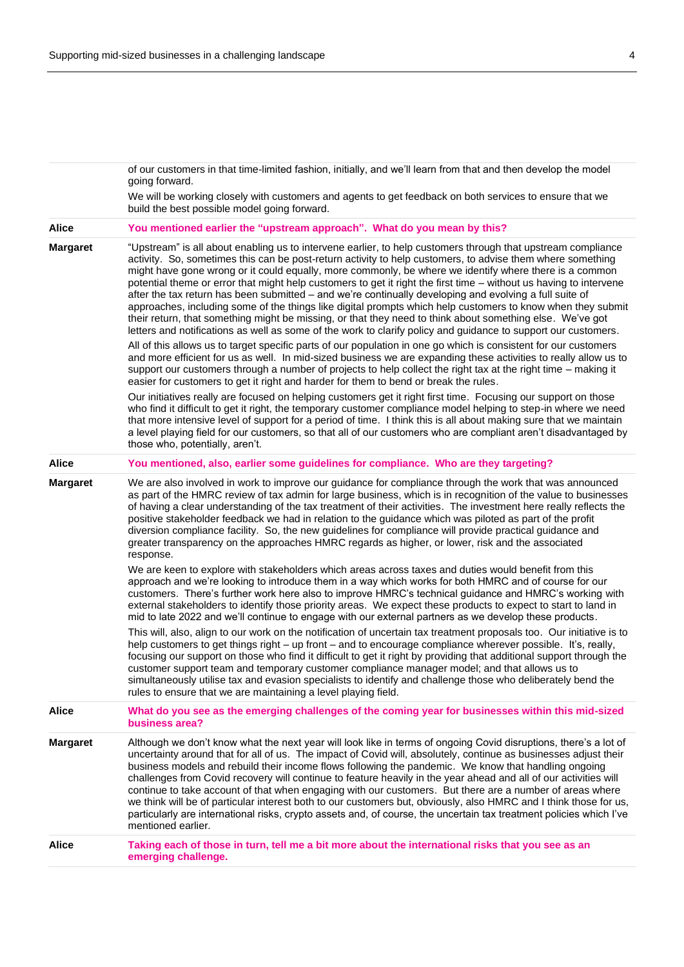|                 | of our customers in that time-limited fashion, initially, and we'll learn from that and then develop the model<br>going forward.<br>We will be working closely with customers and agents to get feedback on both services to ensure that we<br>build the best possible model going forward.                                                                                                                                                                                                                                                                                                                                                                                                                                                                                                                                                                                                                         |
|-----------------|---------------------------------------------------------------------------------------------------------------------------------------------------------------------------------------------------------------------------------------------------------------------------------------------------------------------------------------------------------------------------------------------------------------------------------------------------------------------------------------------------------------------------------------------------------------------------------------------------------------------------------------------------------------------------------------------------------------------------------------------------------------------------------------------------------------------------------------------------------------------------------------------------------------------|
| <b>Alice</b>    | You mentioned earlier the "upstream approach". What do you mean by this?                                                                                                                                                                                                                                                                                                                                                                                                                                                                                                                                                                                                                                                                                                                                                                                                                                            |
| <b>Margaret</b> | "Upstream" is all about enabling us to intervene earlier, to help customers through that upstream compliance<br>activity. So, sometimes this can be post-return activity to help customers, to advise them where something<br>might have gone wrong or it could equally, more commonly, be where we identify where there is a common<br>potential theme or error that might help customers to get it right the first time – without us having to intervene<br>after the tax return has been submitted – and we're continually developing and evolving a full suite of<br>approaches, including some of the things like digital prompts which help customers to know when they submit<br>their return, that something might be missing, or that they need to think about something else. We've got<br>letters and notifications as well as some of the work to clarify policy and guidance to support our customers. |
|                 | All of this allows us to target specific parts of our population in one go which is consistent for our customers<br>and more efficient for us as well. In mid-sized business we are expanding these activities to really allow us to<br>support our customers through a number of projects to help collect the right tax at the right time – making it<br>easier for customers to get it right and harder for them to bend or break the rules.                                                                                                                                                                                                                                                                                                                                                                                                                                                                      |
|                 | Our initiatives really are focused on helping customers get it right first time. Focusing our support on those<br>who find it difficult to get it right, the temporary customer compliance model helping to step-in where we need<br>that more intensive level of support for a period of time. I think this is all about making sure that we maintain<br>a level playing field for our customers, so that all of our customers who are compliant aren't disadvantaged by<br>those who, potentially, aren't.                                                                                                                                                                                                                                                                                                                                                                                                        |
| <b>Alice</b>    | You mentioned, also, earlier some guidelines for compliance. Who are they targeting?                                                                                                                                                                                                                                                                                                                                                                                                                                                                                                                                                                                                                                                                                                                                                                                                                                |
| <b>Margaret</b> | We are also involved in work to improve our guidance for compliance through the work that was announced<br>as part of the HMRC review of tax admin for large business, which is in recognition of the value to businesses<br>of having a clear understanding of the tax treatment of their activities. The investment here really reflects the<br>positive stakeholder feedback we had in relation to the guidance which was piloted as part of the profit<br>diversion compliance facility. So, the new guidelines for compliance will provide practical guidance and<br>greater transparency on the approaches HMRC regards as higher, or lower, risk and the associated<br>response.                                                                                                                                                                                                                             |
|                 | We are keen to explore with stakeholders which areas across taxes and duties would benefit from this<br>approach and we're looking to introduce them in a way which works for both HMRC and of course for our<br>customers. There's further work here also to improve HMRC's technical guidance and HMRC's working with<br>external stakeholders to identify those priority areas. We expect these products to expect to start to land in<br>mid to late 2022 and we'll continue to engage with our external partners as we develop these products.                                                                                                                                                                                                                                                                                                                                                                 |
|                 | This will, also, align to our work on the notification of uncertain tax treatment proposals too. Our initiative is to<br>help customers to get things right - up front - and to encourage compliance wherever possible. It's, really,<br>focusing our support on those who find it difficult to get it right by providing that additional support through the<br>customer support team and temporary customer compliance manager model; and that allows us to<br>simultaneously utilise tax and evasion specialists to identify and challenge those who deliberately bend the<br>rules to ensure that we are maintaining a level playing field.                                                                                                                                                                                                                                                                     |
| <b>Alice</b>    | What do you see as the emerging challenges of the coming year for businesses within this mid-sized<br>business area?                                                                                                                                                                                                                                                                                                                                                                                                                                                                                                                                                                                                                                                                                                                                                                                                |
| <b>Margaret</b> | Although we don't know what the next year will look like in terms of ongoing Covid disruptions, there's a lot of<br>uncertainty around that for all of us. The impact of Covid will, absolutely, continue as businesses adjust their<br>business models and rebuild their income flows following the pandemic. We know that handling ongoing<br>challenges from Covid recovery will continue to feature heavily in the year ahead and all of our activities will<br>continue to take account of that when engaging with our customers. But there are a number of areas where<br>we think will be of particular interest both to our customers but, obviously, also HMRC and I think those for us,<br>particularly are international risks, crypto assets and, of course, the uncertain tax treatment policies which I've<br>mentioned earlier.                                                                      |
| Alice           | Taking each of those in turn, tell me a bit more about the international risks that you see as an<br>emerging challenge.                                                                                                                                                                                                                                                                                                                                                                                                                                                                                                                                                                                                                                                                                                                                                                                            |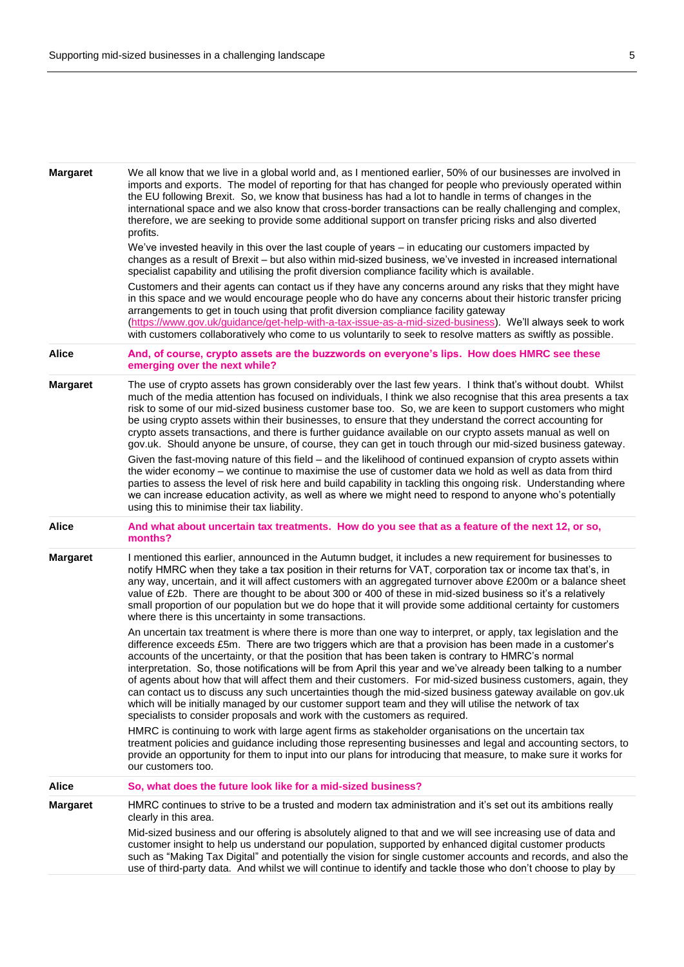| <b>Margaret</b> | We all know that we live in a global world and, as I mentioned earlier, 50% of our businesses are involved in<br>imports and exports. The model of reporting for that has changed for people who previously operated within<br>the EU following Brexit. So, we know that business has had a lot to handle in terms of changes in the<br>international space and we also know that cross-border transactions can be really challenging and complex,<br>therefore, we are seeking to provide some additional support on transfer pricing risks and also diverted<br>profits.                                                                                                                                                                                                                                                                                              |
|-----------------|-------------------------------------------------------------------------------------------------------------------------------------------------------------------------------------------------------------------------------------------------------------------------------------------------------------------------------------------------------------------------------------------------------------------------------------------------------------------------------------------------------------------------------------------------------------------------------------------------------------------------------------------------------------------------------------------------------------------------------------------------------------------------------------------------------------------------------------------------------------------------|
|                 | We've invested heavily in this over the last couple of years – in educating our customers impacted by<br>changes as a result of Brexit - but also within mid-sized business, we've invested in increased international<br>specialist capability and utilising the profit diversion compliance facility which is available.                                                                                                                                                                                                                                                                                                                                                                                                                                                                                                                                              |
|                 | Customers and their agents can contact us if they have any concerns around any risks that they might have<br>in this space and we would encourage people who do have any concerns about their historic transfer pricing<br>arrangements to get in touch using that profit diversion compliance facility gateway<br>(https://www.gov.uk/guidance/get-help-with-a-tax-issue-as-a-mid-sized-business). We'll always seek to work<br>with customers collaboratively who come to us voluntarily to seek to resolve matters as swiftly as possible.                                                                                                                                                                                                                                                                                                                           |
| <b>Alice</b>    | And, of course, crypto assets are the buzzwords on everyone's lips. How does HMRC see these<br>emerging over the next while?                                                                                                                                                                                                                                                                                                                                                                                                                                                                                                                                                                                                                                                                                                                                            |
| <b>Margaret</b> | The use of crypto assets has grown considerably over the last few years. I think that's without doubt. Whilst<br>much of the media attention has focused on individuals, I think we also recognise that this area presents a tax<br>risk to some of our mid-sized business customer base too. So, we are keen to support customers who might<br>be using crypto assets within their businesses, to ensure that they understand the correct accounting for<br>crypto assets transactions, and there is further guidance available on our crypto assets manual as well on<br>gov.uk. Should anyone be unsure, of course, they can get in touch through our mid-sized business gateway.                                                                                                                                                                                    |
|                 | Given the fast-moving nature of this field – and the likelihood of continued expansion of crypto assets within<br>the wider economy - we continue to maximise the use of customer data we hold as well as data from third<br>parties to assess the level of risk here and build capability in tackling this ongoing risk. Understanding where<br>we can increase education activity, as well as where we might need to respond to anyone who's potentially<br>using this to minimise their tax liability.                                                                                                                                                                                                                                                                                                                                                               |
| <b>Alice</b>    | And what about uncertain tax treatments. How do you see that as a feature of the next 12, or so,<br>months?                                                                                                                                                                                                                                                                                                                                                                                                                                                                                                                                                                                                                                                                                                                                                             |
| <b>Margaret</b> | I mentioned this earlier, announced in the Autumn budget, it includes a new requirement for businesses to<br>notify HMRC when they take a tax position in their returns for VAT, corporation tax or income tax that's, in<br>any way, uncertain, and it will affect customers with an aggregated turnover above £200m or a balance sheet<br>value of £2b. There are thought to be about 300 or 400 of these in mid-sized business so it's a relatively<br>small proportion of our population but we do hope that it will provide some additional certainty for customers<br>where there is this uncertainty in some transactions.                                                                                                                                                                                                                                       |
|                 | An uncertain tax treatment is where there is more than one way to interpret, or apply, tax legislation and the<br>difference exceeds £5m. There are two triggers which are that a provision has been made in a customer's<br>accounts of the uncertainty, or that the position that has been taken is contrary to HMRC's normal<br>interpretation. So, those notifications will be from April this year and we've already been talking to a number<br>of agents about how that will affect them and their customers. For mid-sized business customers, again, they<br>can contact us to discuss any such uncertainties though the mid-sized business gateway available on gov.uk<br>which will be initially managed by our customer support team and they will utilise the network of tax<br>specialists to consider proposals and work with the customers as required. |
|                 | HMRC is continuing to work with large agent firms as stakeholder organisations on the uncertain tax<br>treatment policies and guidance including those representing businesses and legal and accounting sectors, to<br>provide an opportunity for them to input into our plans for introducing that measure, to make sure it works for<br>our customers too.                                                                                                                                                                                                                                                                                                                                                                                                                                                                                                            |
| <b>Alice</b>    | So, what does the future look like for a mid-sized business?                                                                                                                                                                                                                                                                                                                                                                                                                                                                                                                                                                                                                                                                                                                                                                                                            |
| <b>Margaret</b> | HMRC continues to strive to be a trusted and modern tax administration and it's set out its ambitions really<br>clearly in this area.                                                                                                                                                                                                                                                                                                                                                                                                                                                                                                                                                                                                                                                                                                                                   |
|                 | Mid-sized business and our offering is absolutely aligned to that and we will see increasing use of data and<br>customer insight to help us understand our population, supported by enhanced digital customer products<br>such as "Making Tax Digital" and potentially the vision for single customer accounts and records, and also the<br>use of third-party data. And whilst we will continue to identify and tackle those who don't choose to play by                                                                                                                                                                                                                                                                                                                                                                                                               |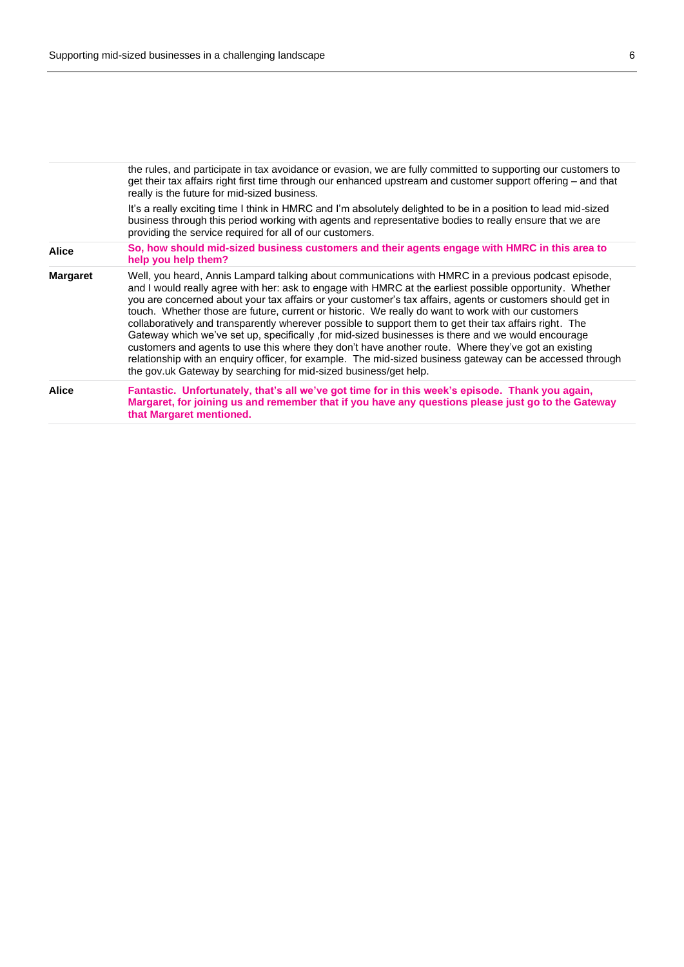|                 | the rules, and participate in tax avoidance or evasion, we are fully committed to supporting our customers to<br>get their tax affairs right first time through our enhanced upstream and customer support offering – and that<br>really is the future for mid-sized business.                                                                                                                                                                                                                                                                                                                                                                                                                                                                                                                                                                                                                                                                 |
|-----------------|------------------------------------------------------------------------------------------------------------------------------------------------------------------------------------------------------------------------------------------------------------------------------------------------------------------------------------------------------------------------------------------------------------------------------------------------------------------------------------------------------------------------------------------------------------------------------------------------------------------------------------------------------------------------------------------------------------------------------------------------------------------------------------------------------------------------------------------------------------------------------------------------------------------------------------------------|
|                 | It's a really exciting time I think in HMRC and I'm absolutely delighted to be in a position to lead mid-sized<br>business through this period working with agents and representative bodies to really ensure that we are<br>providing the service required for all of our customers.                                                                                                                                                                                                                                                                                                                                                                                                                                                                                                                                                                                                                                                          |
| <b>Alice</b>    | So, how should mid-sized business customers and their agents engage with HMRC in this area to<br>help you help them?                                                                                                                                                                                                                                                                                                                                                                                                                                                                                                                                                                                                                                                                                                                                                                                                                           |
| <b>Margaret</b> | Well, you heard, Annis Lampard talking about communications with HMRC in a previous podcast episode,<br>and I would really agree with her: ask to engage with HMRC at the earliest possible opportunity. Whether<br>you are concerned about your tax affairs or your customer's tax affairs, agents or customers should get in<br>touch. Whether those are future, current or historic. We really do want to work with our customers<br>collaboratively and transparently wherever possible to support them to get their tax affairs right. The<br>Gateway which we've set up, specifically , for mid-sized businesses is there and we would encourage<br>customers and agents to use this where they don't have another route. Where they've got an existing<br>relationship with an enquiry officer, for example. The mid-sized business gateway can be accessed through<br>the gov.uk Gateway by searching for mid-sized business/get help. |
| <b>Alice</b>    | Fantastic. Unfortunately, that's all we've got time for in this week's episode. Thank you again,<br>Margaret, for joining us and remember that if you have any questions please just go to the Gateway<br>that Margaret mentioned.                                                                                                                                                                                                                                                                                                                                                                                                                                                                                                                                                                                                                                                                                                             |